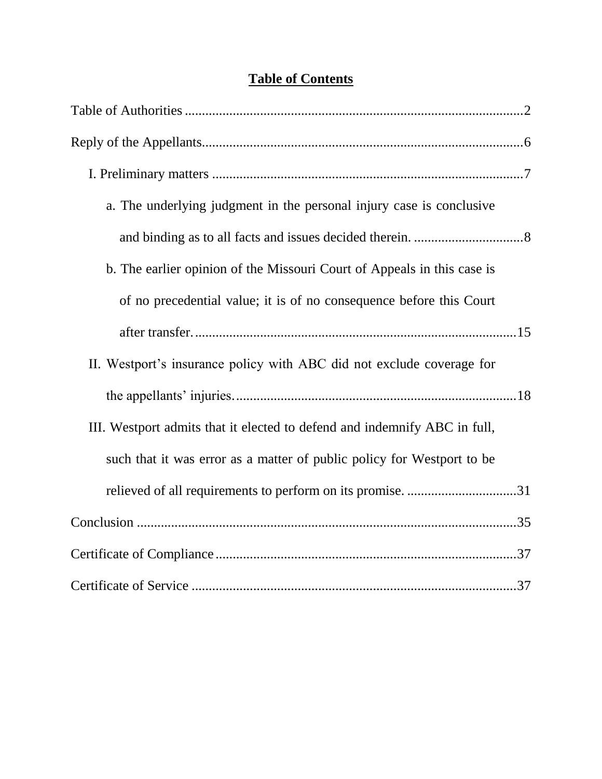## **Table of Contents**

| a. The underlying judgment in the personal injury case is conclusive      |
|---------------------------------------------------------------------------|
|                                                                           |
| b. The earlier opinion of the Missouri Court of Appeals in this case is   |
| of no precedential value; it is of no consequence before this Court       |
|                                                                           |
| II. Westport's insurance policy with ABC did not exclude coverage for     |
|                                                                           |
| III. Westport admits that it elected to defend and indemnify ABC in full, |
| such that it was error as a matter of public policy for Westport to be    |
| relieved of all requirements to perform on its promise. 31                |
|                                                                           |
|                                                                           |
|                                                                           |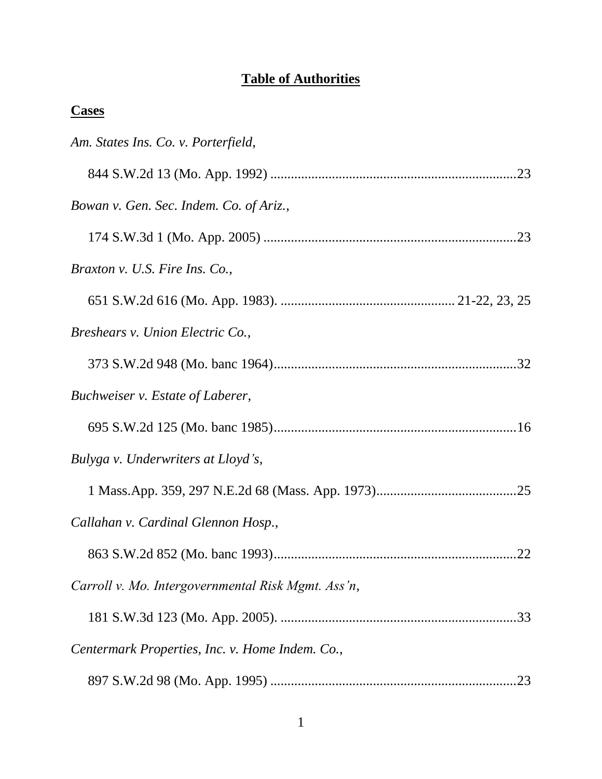## **Table of Authorities**

| ч<br>. .<br>c |
|---------------|
|---------------|

| Am. States Ins. Co. v. Porterfield,                |
|----------------------------------------------------|
|                                                    |
| Bowan v. Gen. Sec. Indem. Co. of Ariz.,            |
|                                                    |
| Braxton v. U.S. Fire Ins. Co.,                     |
|                                                    |
| Breshears v. Union Electric Co.,                   |
|                                                    |
| Buchweiser v. Estate of Laberer,                   |
|                                                    |
| Bulyga v. Underwriters at Lloyd's,                 |
|                                                    |
| Callahan v. Cardinal Glennon Hosp.,                |
| .22                                                |
| Carroll v. Mo. Intergovernmental Risk Mgmt. Ass'n, |
|                                                    |
| Centermark Properties, Inc. v. Home Indem. Co.,    |
| 23                                                 |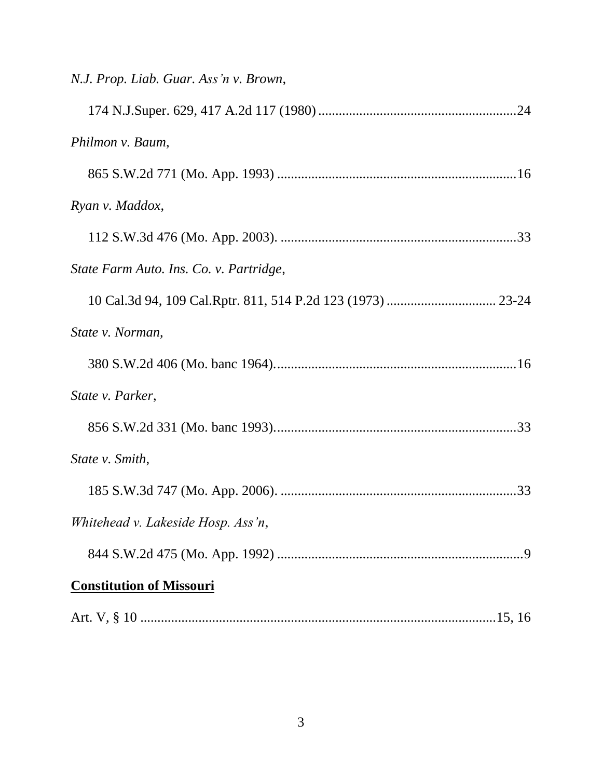| N.J. Prop. Liab. Guar. Ass'n v. Brown,  |  |
|-----------------------------------------|--|
|                                         |  |
| Philmon v. Baum,                        |  |
|                                         |  |
| Ryan v. Maddox,                         |  |
|                                         |  |
| State Farm Auto. Ins. Co. v. Partridge, |  |
|                                         |  |
| State v. Norman,                        |  |
|                                         |  |
| State v. Parker,                        |  |
|                                         |  |
| State v. Smith,                         |  |
|                                         |  |
| Whitehead v. Lakeside Hosp. Ass'n,      |  |
|                                         |  |
| <b>Constitution of Missouri</b>         |  |
|                                         |  |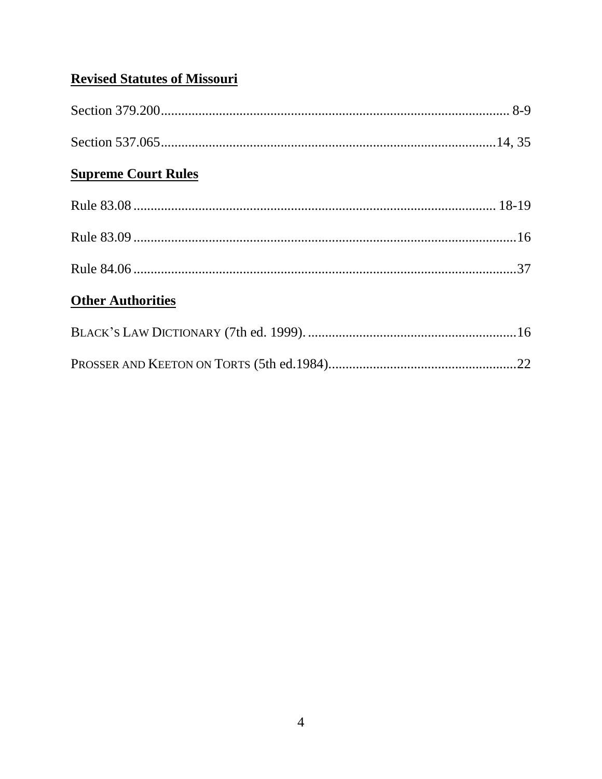## **Revised Statutes of Missouri**

| <b>Supreme Court Rules</b> |  |
|----------------------------|--|
|                            |  |
|                            |  |
|                            |  |
| <b>Other Authorities</b>   |  |
|                            |  |
|                            |  |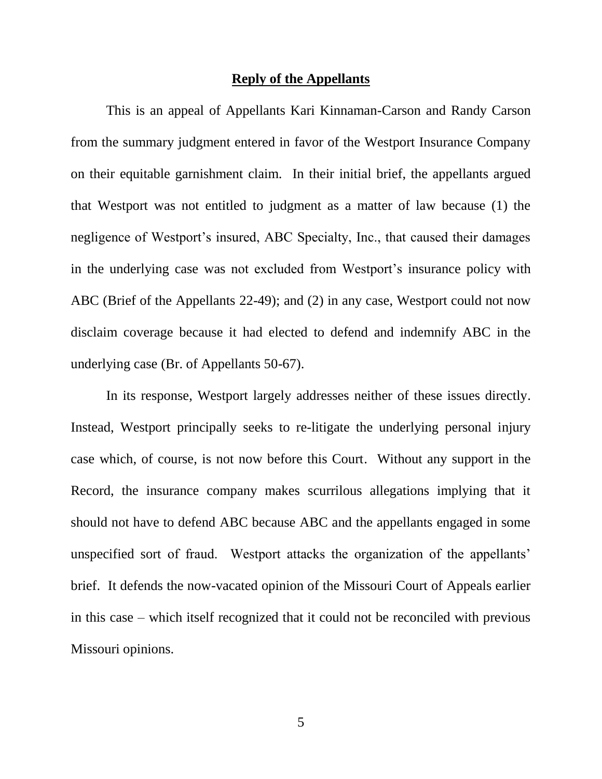#### **Reply of the Appellants**

This is an appeal of Appellants Kari Kinnaman-Carson and Randy Carson from the summary judgment entered in favor of the Westport Insurance Company on their equitable garnishment claim. In their initial brief, the appellants argued that Westport was not entitled to judgment as a matter of law because (1) the negligence of Westport's insured, ABC Specialty, Inc., that caused their damages in the underlying case was not excluded from Westport's insurance policy with ABC (Brief of the Appellants 22-49); and (2) in any case, Westport could not now disclaim coverage because it had elected to defend and indemnify ABC in the underlying case (Br. of Appellants 50-67).

In its response, Westport largely addresses neither of these issues directly. Instead, Westport principally seeks to re-litigate the underlying personal injury case which, of course, is not now before this Court. Without any support in the Record, the insurance company makes scurrilous allegations implying that it should not have to defend ABC because ABC and the appellants engaged in some unspecified sort of fraud. Westport attacks the organization of the appellants' brief. It defends the now-vacated opinion of the Missouri Court of Appeals earlier in this case – which itself recognized that it could not be reconciled with previous Missouri opinions.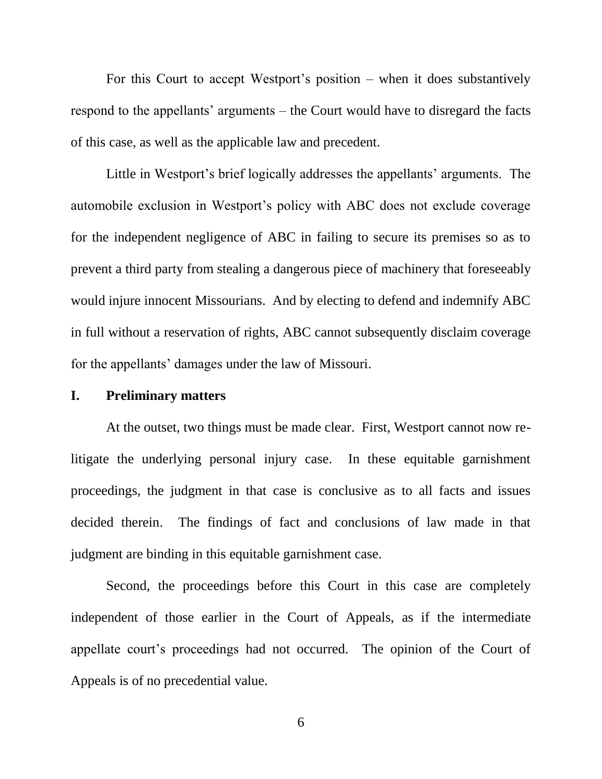For this Court to accept Westport's position – when it does substantively respond to the appellants' arguments – the Court would have to disregard the facts of this case, as well as the applicable law and precedent.

Little in Westport's brief logically addresses the appellants' arguments. The automobile exclusion in Westport's policy with ABC does not exclude coverage for the independent negligence of ABC in failing to secure its premises so as to prevent a third party from stealing a dangerous piece of machinery that foreseeably would injure innocent Missourians. And by electing to defend and indemnify ABC in full without a reservation of rights, ABC cannot subsequently disclaim coverage for the appellants' damages under the law of Missouri.

#### **I. Preliminary matters**

At the outset, two things must be made clear. First, Westport cannot now relitigate the underlying personal injury case. In these equitable garnishment proceedings, the judgment in that case is conclusive as to all facts and issues decided therein. The findings of fact and conclusions of law made in that judgment are binding in this equitable garnishment case.

Second, the proceedings before this Court in this case are completely independent of those earlier in the Court of Appeals, as if the intermediate appellate court's proceedings had not occurred. The opinion of the Court of Appeals is of no precedential value.

6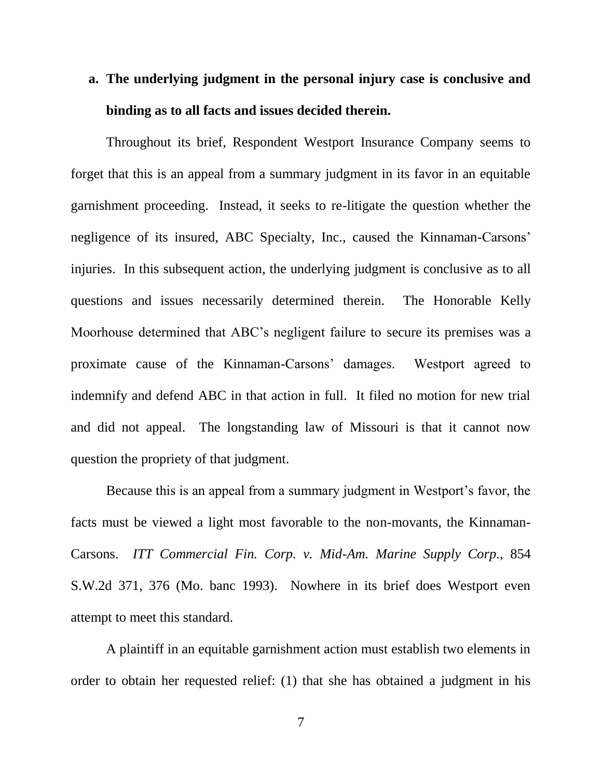## **a. The underlying judgment in the personal injury case is conclusive and binding as to all facts and issues decided therein.**

Throughout its brief, Respondent Westport Insurance Company seems to forget that this is an appeal from a summary judgment in its favor in an equitable garnishment proceeding. Instead, it seeks to re-litigate the question whether the negligence of its insured, ABC Specialty, Inc., caused the Kinnaman-Carsons' injuries. In this subsequent action, the underlying judgment is conclusive as to all questions and issues necessarily determined therein. The Honorable Kelly Moorhouse determined that ABC's negligent failure to secure its premises was a proximate cause of the Kinnaman-Carsons' damages. Westport agreed to indemnify and defend ABC in that action in full. It filed no motion for new trial and did not appeal. The longstanding law of Missouri is that it cannot now question the propriety of that judgment.

Because this is an appeal from a summary judgment in Westport's favor, the facts must be viewed a light most favorable to the non-movants, the Kinnaman-Carsons. *ITT Commercial Fin. Corp. v. Mid-Am. Marine Supply Corp.*, 854 S.W.2d 371, 376 (Mo. banc 1993). Nowhere in its brief does Westport even attempt to meet this standard.

A plaintiff in an equitable garnishment action must establish two elements in order to obtain her requested relief: (1) that she has obtained a judgment in his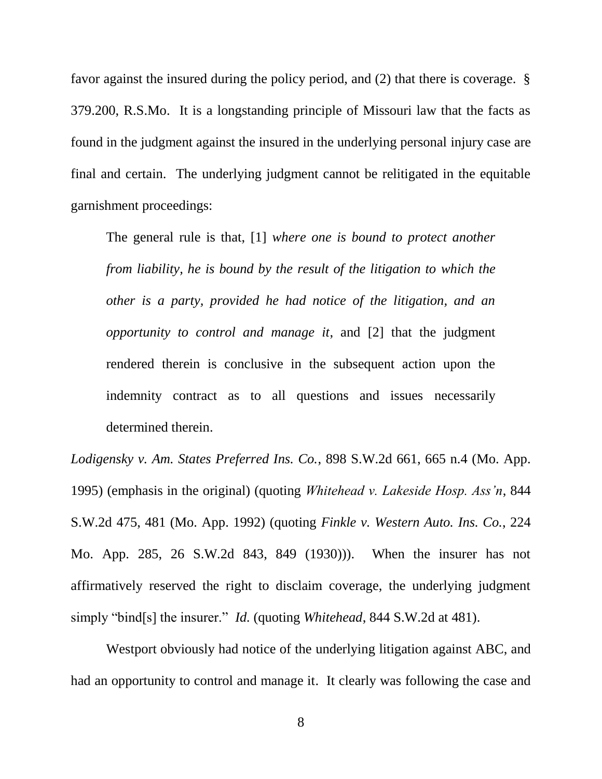favor against the insured during the policy period, and (2) that there is coverage. § 379.200, R.S.Mo. It is a longstanding principle of Missouri law that the facts as found in the judgment against the insured in the underlying personal injury case are final and certain. The underlying judgment cannot be relitigated in the equitable garnishment proceedings:

The general rule is that, [1] *where one is bound to protect another from liability, he is bound by the result of the litigation to which the other is a party, provided he had notice of the litigation, and an opportunity to control and manage it*, and [2] that the judgment rendered therein is conclusive in the subsequent action upon the indemnity contract as to all questions and issues necessarily determined therein.

*Lodigensky v. Am. States Preferred Ins. Co.*, 898 S.W.2d 661, 665 n.4 (Mo. App. 1995) (emphasis in the original) (quoting *Whitehead v. Lakeside Hosp. Ass'n*, 844 S.W.2d 475, 481 (Mo. App. 1992) (quoting *Finkle v. Western Auto. Ins. Co.*, 224 Mo. App. 285, 26 S.W.2d 843, 849 (1930))). When the insurer has not affirmatively reserved the right to disclaim coverage, the underlying judgment simply "bind[s] the insurer." *Id.* (quoting *Whitehead*, 844 S.W.2d at 481).

Westport obviously had notice of the underlying litigation against ABC, and had an opportunity to control and manage it. It clearly was following the case and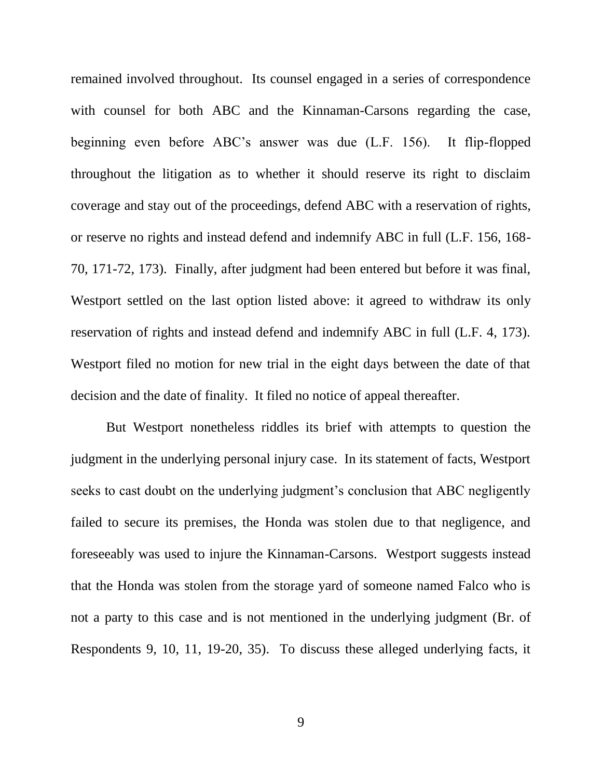remained involved throughout. Its counsel engaged in a series of correspondence with counsel for both ABC and the Kinnaman-Carsons regarding the case, beginning even before ABC's answer was due (L.F. 156). It flip-flopped throughout the litigation as to whether it should reserve its right to disclaim coverage and stay out of the proceedings, defend ABC with a reservation of rights, or reserve no rights and instead defend and indemnify ABC in full (L.F. 156, 168- 70, 171-72, 173). Finally, after judgment had been entered but before it was final, Westport settled on the last option listed above: it agreed to withdraw its only reservation of rights and instead defend and indemnify ABC in full (L.F. 4, 173). Westport filed no motion for new trial in the eight days between the date of that decision and the date of finality. It filed no notice of appeal thereafter.

But Westport nonetheless riddles its brief with attempts to question the judgment in the underlying personal injury case. In its statement of facts, Westport seeks to cast doubt on the underlying judgment's conclusion that ABC negligently failed to secure its premises, the Honda was stolen due to that negligence, and foreseeably was used to injure the Kinnaman-Carsons. Westport suggests instead that the Honda was stolen from the storage yard of someone named Falco who is not a party to this case and is not mentioned in the underlying judgment (Br. of Respondents 9, 10, 11, 19-20, 35). To discuss these alleged underlying facts, it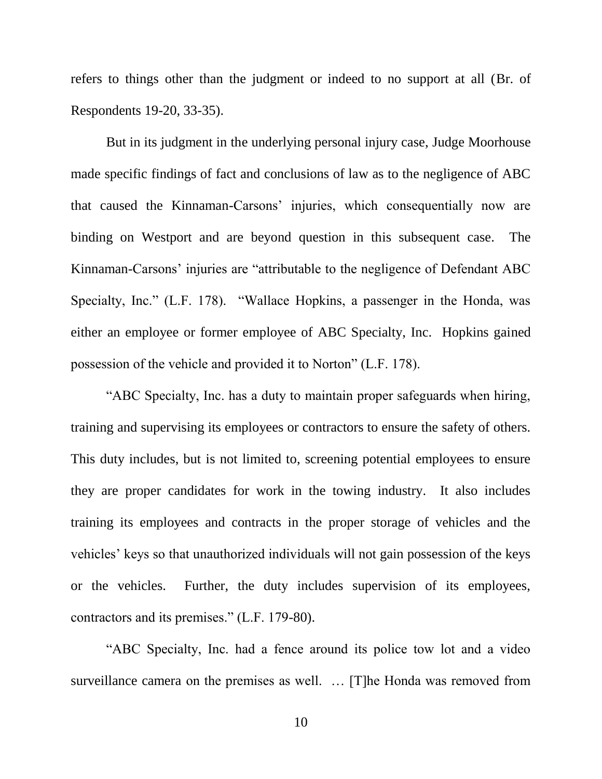refers to things other than the judgment or indeed to no support at all (Br. of Respondents 19-20, 33-35).

But in its judgment in the underlying personal injury case, Judge Moorhouse made specific findings of fact and conclusions of law as to the negligence of ABC that caused the Kinnaman-Carsons' injuries, which consequentially now are binding on Westport and are beyond question in this subsequent case. The Kinnaman-Carsons' injuries are "attributable to the negligence of Defendant ABC Specialty, Inc." (L.F. 178). "Wallace Hopkins, a passenger in the Honda, was either an employee or former employee of ABC Specialty, Inc. Hopkins gained possession of the vehicle and provided it to Norton" (L.F. 178).

"ABC Specialty, Inc. has a duty to maintain proper safeguards when hiring, training and supervising its employees or contractors to ensure the safety of others. This duty includes, but is not limited to, screening potential employees to ensure they are proper candidates for work in the towing industry. It also includes training its employees and contracts in the proper storage of vehicles and the vehicles' keys so that unauthorized individuals will not gain possession of the keys or the vehicles. Further, the duty includes supervision of its employees, contractors and its premises." (L.F. 179-80).

"ABC Specialty, Inc. had a fence around its police tow lot and a video surveillance camera on the premises as well. … [T]he Honda was removed from

10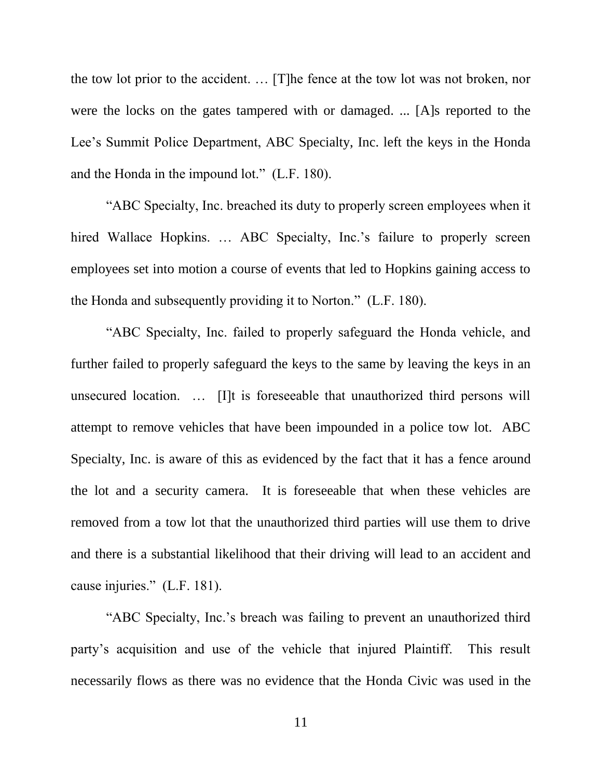the tow lot prior to the accident. … [T]he fence at the tow lot was not broken, nor were the locks on the gates tampered with or damaged. ... [A]s reported to the Lee's Summit Police Department, ABC Specialty, Inc. left the keys in the Honda and the Honda in the impound lot." (L.F. 180).

"ABC Specialty, Inc. breached its duty to properly screen employees when it hired Wallace Hopkins. ... ABC Specialty, Inc.'s failure to properly screen employees set into motion a course of events that led to Hopkins gaining access to the Honda and subsequently providing it to Norton." (L.F. 180).

"ABC Specialty, Inc. failed to properly safeguard the Honda vehicle, and further failed to properly safeguard the keys to the same by leaving the keys in an unsecured location. … [I]t is foreseeable that unauthorized third persons will attempt to remove vehicles that have been impounded in a police tow lot. ABC Specialty, Inc. is aware of this as evidenced by the fact that it has a fence around the lot and a security camera. It is foreseeable that when these vehicles are removed from a tow lot that the unauthorized third parties will use them to drive and there is a substantial likelihood that their driving will lead to an accident and cause injuries." (L.F. 181).

"ABC Specialty, Inc.'s breach was failing to prevent an unauthorized third party's acquisition and use of the vehicle that injured Plaintiff. This result necessarily flows as there was no evidence that the Honda Civic was used in the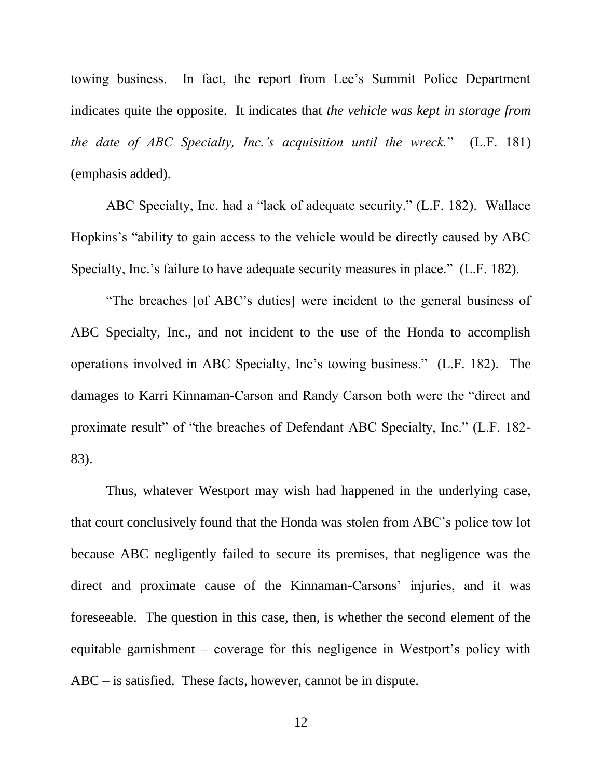towing business. In fact, the report from Lee's Summit Police Department indicates quite the opposite. It indicates that *the vehicle was kept in storage from the date of ABC Specialty, Inc.'s acquisition until the wreck.*" (L.F. 181) (emphasis added).

ABC Specialty, Inc. had a "lack of adequate security." (L.F. 182). Wallace Hopkins's "ability to gain access to the vehicle would be directly caused by ABC Specialty, Inc.'s failure to have adequate security measures in place." (L.F. 182).

"The breaches [of ABC's duties] were incident to the general business of ABC Specialty, Inc., and not incident to the use of the Honda to accomplish operations involved in ABC Specialty, Inc's towing business." (L.F. 182). The damages to Karri Kinnaman-Carson and Randy Carson both were the "direct and proximate result" of "the breaches of Defendant ABC Specialty, Inc." (L.F. 182- 83).

Thus, whatever Westport may wish had happened in the underlying case, that court conclusively found that the Honda was stolen from ABC's police tow lot because ABC negligently failed to secure its premises, that negligence was the direct and proximate cause of the Kinnaman-Carsons' injuries, and it was foreseeable. The question in this case, then, is whether the second element of the equitable garnishment – coverage for this negligence in Westport's policy with ABC – is satisfied. These facts, however, cannot be in dispute.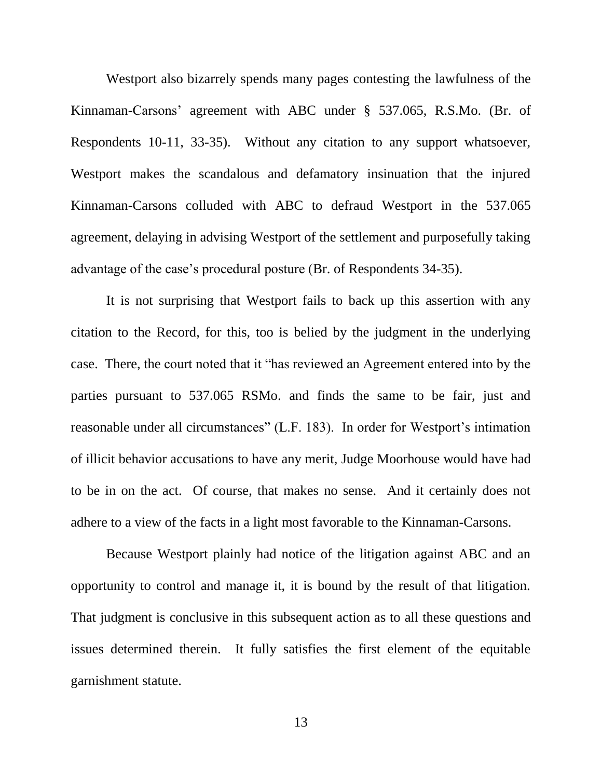Westport also bizarrely spends many pages contesting the lawfulness of the Kinnaman-Carsons' agreement with ABC under § 537.065, R.S.Mo. (Br. of Respondents 10-11, 33-35). Without any citation to any support whatsoever, Westport makes the scandalous and defamatory insinuation that the injured Kinnaman-Carsons colluded with ABC to defraud Westport in the 537.065 agreement, delaying in advising Westport of the settlement and purposefully taking advantage of the case's procedural posture (Br. of Respondents 34-35).

It is not surprising that Westport fails to back up this assertion with any citation to the Record, for this, too is belied by the judgment in the underlying case. There, the court noted that it "has reviewed an Agreement entered into by the parties pursuant to 537.065 RSMo. and finds the same to be fair, just and reasonable under all circumstances" (L.F. 183). In order for Westport's intimation of illicit behavior accusations to have any merit, Judge Moorhouse would have had to be in on the act. Of course, that makes no sense. And it certainly does not adhere to a view of the facts in a light most favorable to the Kinnaman-Carsons.

Because Westport plainly had notice of the litigation against ABC and an opportunity to control and manage it, it is bound by the result of that litigation. That judgment is conclusive in this subsequent action as to all these questions and issues determined therein. It fully satisfies the first element of the equitable garnishment statute.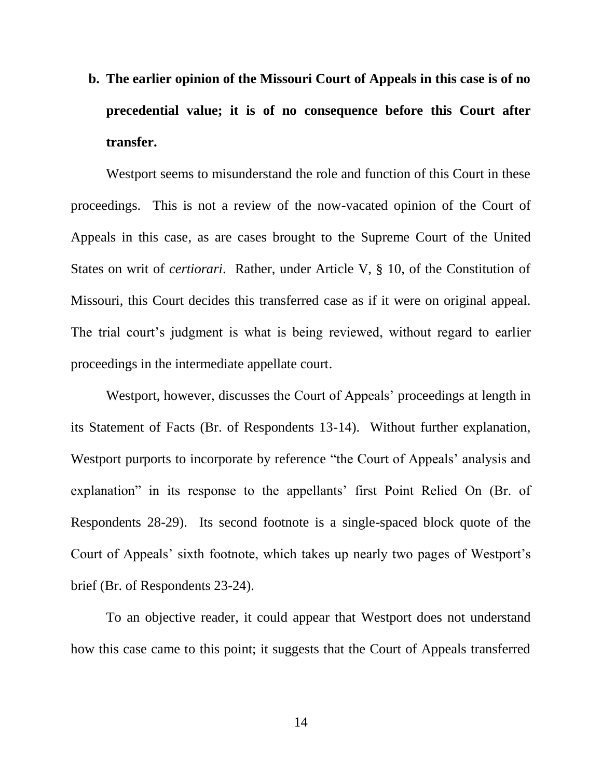**b. The earlier opinion of the Missouri Court of Appeals in this case is of no precedential value; it is of no consequence before this Court after transfer.**

Westport seems to misunderstand the role and function of this Court in these proceedings. This is not a review of the now-vacated opinion of the Court of Appeals in this case, as are cases brought to the Supreme Court of the United States on writ of *certiorari*. Rather, under Article V, § 10, of the Constitution of Missouri, this Court decides this transferred case as if it were on original appeal. The trial court's judgment is what is being reviewed, without regard to earlier proceedings in the intermediate appellate court.

Westport, however, discusses the Court of Appeals' proceedings at length in its Statement of Facts (Br. of Respondents 13-14). Without further explanation, Westport purports to incorporate by reference "the Court of Appeals' analysis and explanation" in its response to the appellants' first Point Relied On (Br. of Respondents 28-29). Its second footnote is a single-spaced block quote of the Court of Appeals' sixth footnote, which takes up nearly two pages of Westport's brief (Br. of Respondents 23-24).

To an objective reader, it could appear that Westport does not understand how this case came to this point; it suggests that the Court of Appeals transferred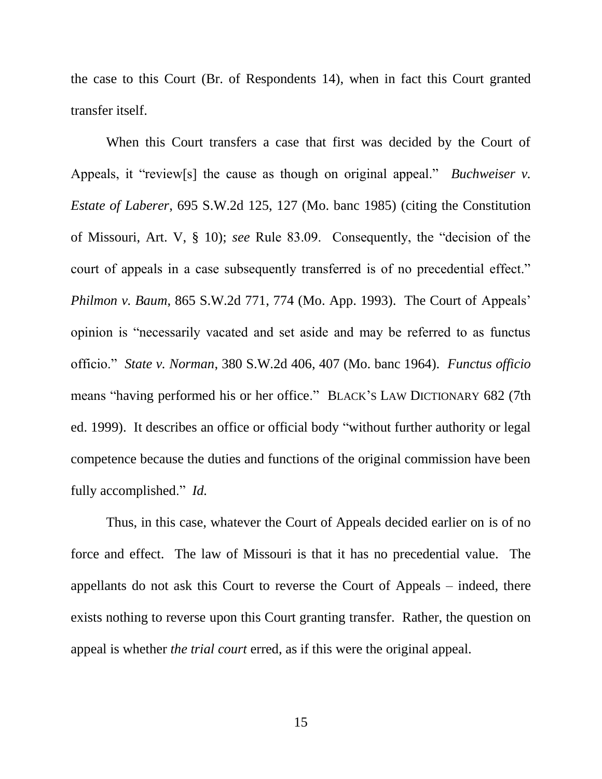the case to this Court (Br. of Respondents 14), when in fact this Court granted transfer itself.

When this Court transfers a case that first was decided by the Court of Appeals, it "review[s] the cause as though on original appeal." *Buchweiser v. Estate of Laberer*, 695 S.W.2d 125, 127 (Mo. banc 1985) (citing the Constitution of Missouri, Art. V, § 10); *see* Rule 83.09. Consequently, the "decision of the court of appeals in a case subsequently transferred is of no precedential effect." *Philmon v. Baum*, 865 S.W.2d 771, 774 (Mo. App. 1993). The Court of Appeals' opinion is "necessarily vacated and set aside and may be referred to as functus officio." *State v. Norman*, 380 S.W.2d 406, 407 (Mo. banc 1964). *Functus officio* means "having performed his or her office." BLACK'S LAW DICTIONARY 682 (7th ed. 1999). It describes an office or official body "without further authority or legal competence because the duties and functions of the original commission have been fully accomplished." *Id.*

Thus, in this case, whatever the Court of Appeals decided earlier on is of no force and effect. The law of Missouri is that it has no precedential value. The appellants do not ask this Court to reverse the Court of Appeals – indeed, there exists nothing to reverse upon this Court granting transfer. Rather, the question on appeal is whether *the trial court* erred, as if this were the original appeal.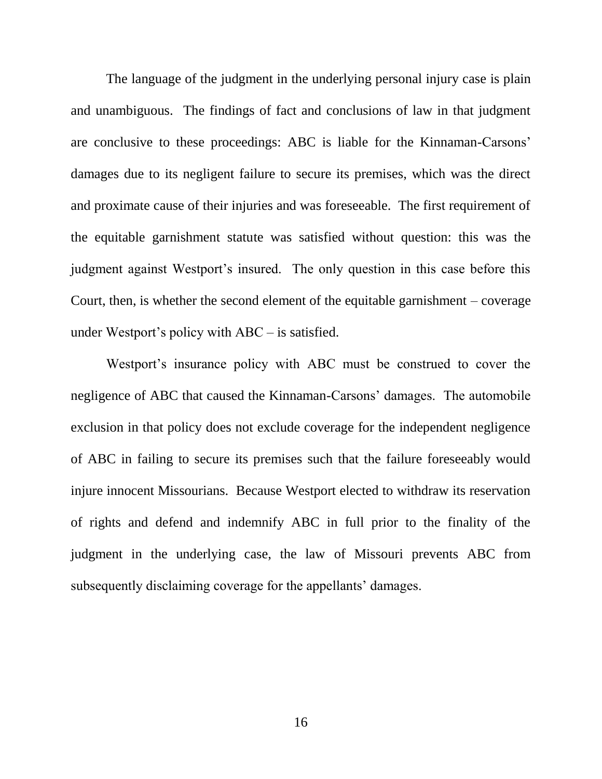The language of the judgment in the underlying personal injury case is plain and unambiguous. The findings of fact and conclusions of law in that judgment are conclusive to these proceedings: ABC is liable for the Kinnaman-Carsons' damages due to its negligent failure to secure its premises, which was the direct and proximate cause of their injuries and was foreseeable. The first requirement of the equitable garnishment statute was satisfied without question: this was the judgment against Westport's insured. The only question in this case before this Court, then, is whether the second element of the equitable garnishment – coverage under Westport's policy with ABC – is satisfied.

Westport's insurance policy with ABC must be construed to cover the negligence of ABC that caused the Kinnaman-Carsons' damages. The automobile exclusion in that policy does not exclude coverage for the independent negligence of ABC in failing to secure its premises such that the failure foreseeably would injure innocent Missourians. Because Westport elected to withdraw its reservation of rights and defend and indemnify ABC in full prior to the finality of the judgment in the underlying case, the law of Missouri prevents ABC from subsequently disclaiming coverage for the appellants' damages.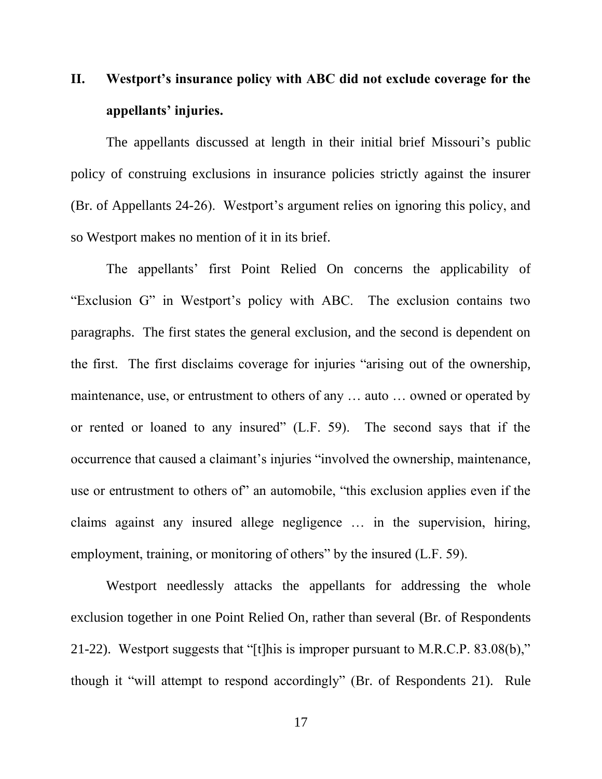## **II. Westport's insurance policy with ABC did not exclude coverage for the appellants' injuries.**

The appellants discussed at length in their initial brief Missouri's public policy of construing exclusions in insurance policies strictly against the insurer (Br. of Appellants 24-26). Westport's argument relies on ignoring this policy, and so Westport makes no mention of it in its brief.

The appellants' first Point Relied On concerns the applicability of "Exclusion G" in Westport's policy with ABC. The exclusion contains two paragraphs. The first states the general exclusion, and the second is dependent on the first. The first disclaims coverage for injuries "arising out of the ownership, maintenance, use, or entrustment to others of any … auto … owned or operated by or rented or loaned to any insured" (L.F. 59). The second says that if the occurrence that caused a claimant's injuries "involved the ownership, maintenance, use or entrustment to others of" an automobile, "this exclusion applies even if the claims against any insured allege negligence … in the supervision, hiring, employment, training, or monitoring of others" by the insured (L.F. 59).

Westport needlessly attacks the appellants for addressing the whole exclusion together in one Point Relied On, rather than several (Br. of Respondents 21-22). Westport suggests that "[t]his is improper pursuant to M.R.C.P. 83.08(b)," though it "will attempt to respond accordingly" (Br. of Respondents 21). Rule

17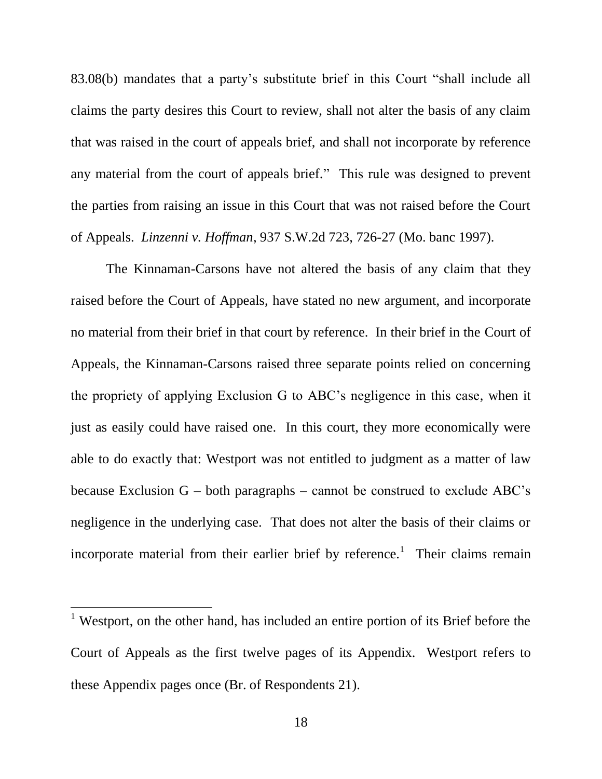83.08(b) mandates that a party's substitute brief in this Court "shall include all claims the party desires this Court to review, shall not alter the basis of any claim that was raised in the court of appeals brief, and shall not incorporate by reference any material from the court of appeals brief." This rule was designed to prevent the parties from raising an issue in this Court that was not raised before the Court of Appeals. *Linzenni v. Hoffman*, 937 S.W.2d 723, 726-27 (Mo. banc 1997).

The Kinnaman-Carsons have not altered the basis of any claim that they raised before the Court of Appeals, have stated no new argument, and incorporate no material from their brief in that court by reference. In their brief in the Court of Appeals, the Kinnaman-Carsons raised three separate points relied on concerning the propriety of applying Exclusion G to ABC's negligence in this case, when it just as easily could have raised one. In this court, they more economically were able to do exactly that: Westport was not entitled to judgment as a matter of law because Exclusion  $G$  – both paragraphs – cannot be construed to exclude ABC's negligence in the underlying case. That does not alter the basis of their claims or incorporate material from their earlier brief by reference.<sup>1</sup> Their claims remain

 $\overline{a}$ 

<sup>&</sup>lt;sup>1</sup> Westport, on the other hand, has included an entire portion of its Brief before the Court of Appeals as the first twelve pages of its Appendix. Westport refers to these Appendix pages once (Br. of Respondents 21).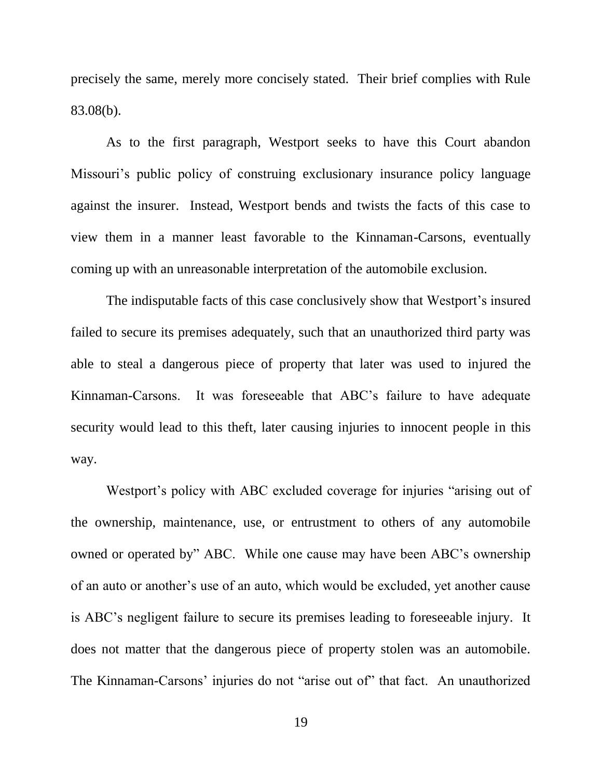precisely the same, merely more concisely stated. Their brief complies with Rule 83.08(b).

As to the first paragraph, Westport seeks to have this Court abandon Missouri's public policy of construing exclusionary insurance policy language against the insurer. Instead, Westport bends and twists the facts of this case to view them in a manner least favorable to the Kinnaman-Carsons, eventually coming up with an unreasonable interpretation of the automobile exclusion.

The indisputable facts of this case conclusively show that Westport's insured failed to secure its premises adequately, such that an unauthorized third party was able to steal a dangerous piece of property that later was used to injured the Kinnaman-Carsons. It was foreseeable that ABC's failure to have adequate security would lead to this theft, later causing injuries to innocent people in this way.

Westport's policy with ABC excluded coverage for injuries "arising out of the ownership, maintenance, use, or entrustment to others of any automobile owned or operated by" ABC. While one cause may have been ABC's ownership of an auto or another's use of an auto, which would be excluded, yet another cause is ABC's negligent failure to secure its premises leading to foreseeable injury. It does not matter that the dangerous piece of property stolen was an automobile. The Kinnaman-Carsons' injuries do not "arise out of" that fact. An unauthorized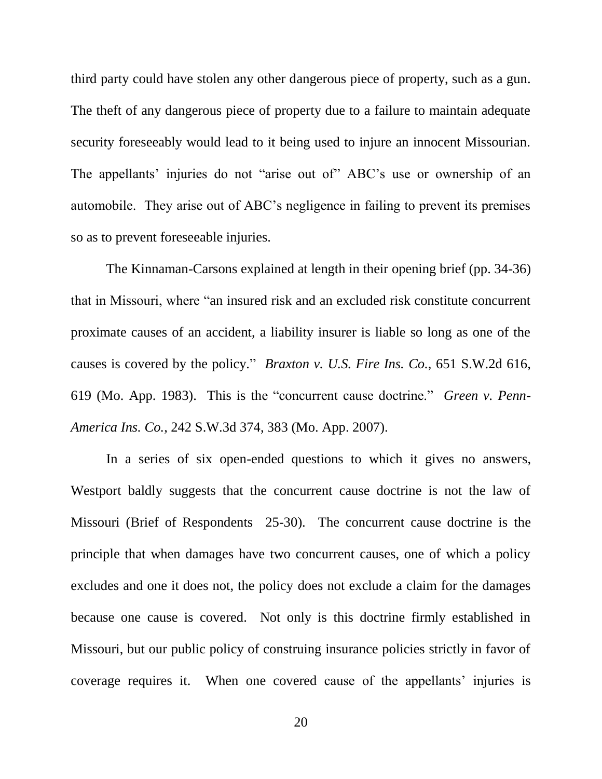third party could have stolen any other dangerous piece of property, such as a gun. The theft of any dangerous piece of property due to a failure to maintain adequate security foreseeably would lead to it being used to injure an innocent Missourian. The appellants' injuries do not "arise out of" ABC's use or ownership of an automobile. They arise out of ABC's negligence in failing to prevent its premises so as to prevent foreseeable injuries.

The Kinnaman-Carsons explained at length in their opening brief (pp. 34-36) that in Missouri, where "an insured risk and an excluded risk constitute concurrent proximate causes of an accident, a liability insurer is liable so long as one of the causes is covered by the policy." *Braxton v. U.S. Fire Ins. Co.*, 651 S.W.2d 616, 619 (Mo. App. 1983). This is the "concurrent cause doctrine." *Green v. Penn-America Ins. Co.*, 242 S.W.3d 374, 383 (Mo. App. 2007).

In a series of six open-ended questions to which it gives no answers, Westport baldly suggests that the concurrent cause doctrine is not the law of Missouri (Brief of Respondents 25-30). The concurrent cause doctrine is the principle that when damages have two concurrent causes, one of which a policy excludes and one it does not, the policy does not exclude a claim for the damages because one cause is covered. Not only is this doctrine firmly established in Missouri, but our public policy of construing insurance policies strictly in favor of coverage requires it. When one covered cause of the appellants' injuries is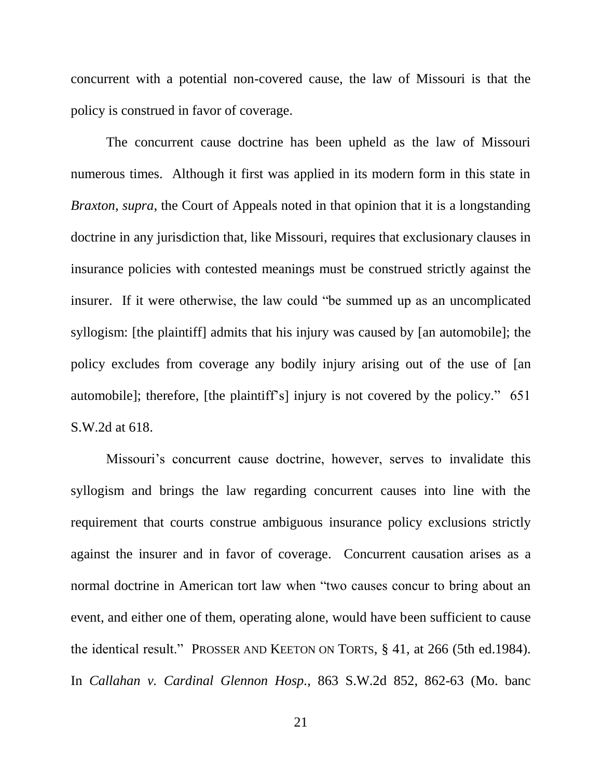concurrent with a potential non-covered cause, the law of Missouri is that the policy is construed in favor of coverage.

The concurrent cause doctrine has been upheld as the law of Missouri numerous times. Although it first was applied in its modern form in this state in *Braxton*, *supra*, the Court of Appeals noted in that opinion that it is a longstanding doctrine in any jurisdiction that, like Missouri, requires that exclusionary clauses in insurance policies with contested meanings must be construed strictly against the insurer. If it were otherwise, the law could "be summed up as an uncomplicated syllogism: [the plaintiff] admits that his injury was caused by [an automobile]; the policy excludes from coverage any bodily injury arising out of the use of [an automobile]; therefore, [the plaintiff's] injury is not covered by the policy." 651 S.W.2d at 618.

Missouri's concurrent cause doctrine, however, serves to invalidate this syllogism and brings the law regarding concurrent causes into line with the requirement that courts construe ambiguous insurance policy exclusions strictly against the insurer and in favor of coverage. Concurrent causation arises as a normal doctrine in American tort law when "two causes concur to bring about an event, and either one of them, operating alone, would have been sufficient to cause the identical result." PROSSER AND KEETON ON TORTS, § 41, at 266 (5th ed.1984). In *Callahan v. Cardinal Glennon Hosp.*, 863 S.W.2d 852, 862-63 (Mo. banc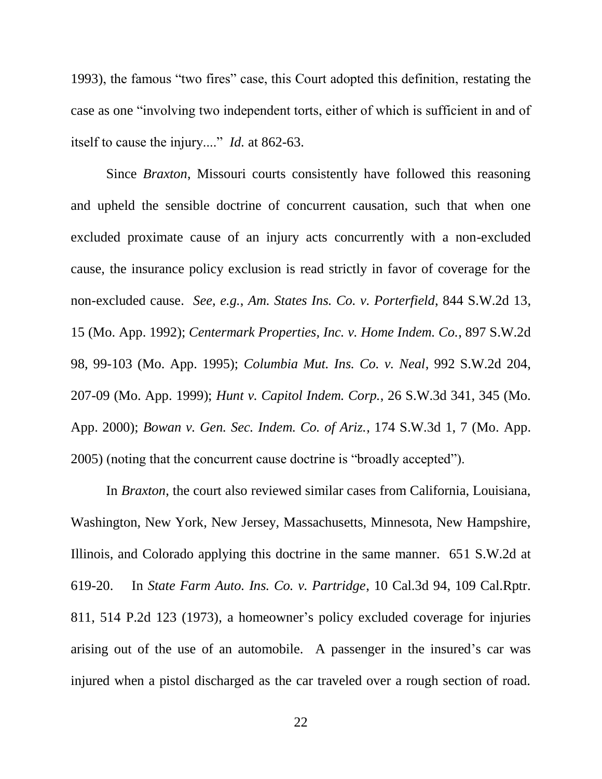1993), the famous "two fires" case, this Court adopted this definition, restating the case as one "involving two independent torts, either of which is sufficient in and of itself to cause the injury...." *Id.* at 862-63.

Since *Braxton*, Missouri courts consistently have followed this reasoning and upheld the sensible doctrine of concurrent causation, such that when one excluded proximate cause of an injury acts concurrently with a non-excluded cause, the insurance policy exclusion is read strictly in favor of coverage for the non-excluded cause. *See, e.g.*, *Am. States Ins. Co. v. Porterfield*, 844 S.W.2d 13, 15 (Mo. App. 1992); *Centermark Properties, Inc. v. Home Indem. Co.*, 897 S.W.2d 98, 99-103 (Mo. App. 1995); *Columbia Mut. Ins. Co. v. Neal*, 992 S.W.2d 204, 207-09 (Mo. App. 1999); *Hunt v. Capitol Indem. Corp.*, 26 S.W.3d 341, 345 (Mo. App. 2000); *Bowan v. Gen. Sec. Indem. Co. of Ariz.*, 174 S.W.3d 1, 7 (Mo. App. 2005) (noting that the concurrent cause doctrine is "broadly accepted").

In *Braxton*, the court also reviewed similar cases from California, Louisiana, Washington, New York, New Jersey, Massachusetts, Minnesota, New Hampshire, Illinois, and Colorado applying this doctrine in the same manner. 651 S.W.2d at 619-20. In *State Farm Auto. Ins. Co. v. Partridge*, 10 Cal.3d 94, 109 Cal.Rptr. 811, 514 P.2d 123 (1973), a homeowner's policy excluded coverage for injuries arising out of the use of an automobile. A passenger in the insured's car was injured when a pistol discharged as the car traveled over a rough section of road.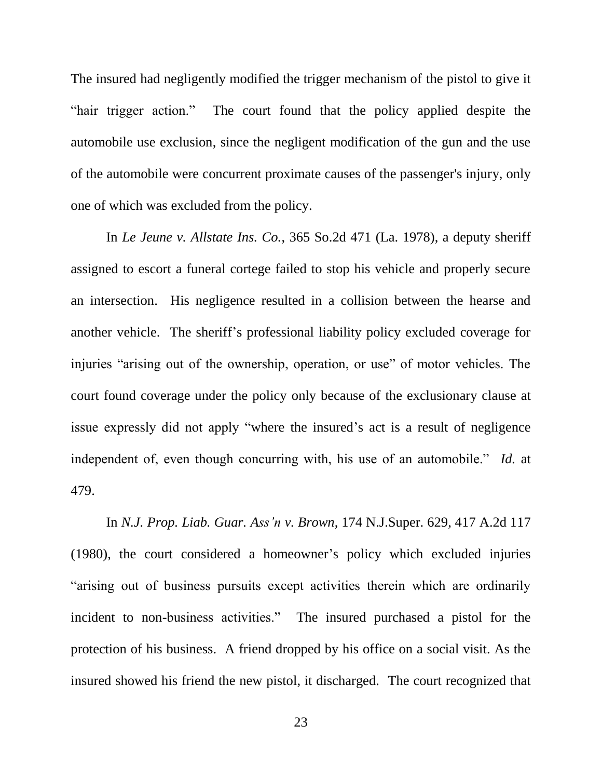The insured had negligently modified the trigger mechanism of the pistol to give it "hair trigger action." The court found that the policy applied despite the automobile use exclusion, since the negligent modification of the gun and the use of the automobile were concurrent proximate causes of the passenger's injury, only one of which was excluded from the policy.

In *Le Jeune v. Allstate Ins. Co.*, 365 So.2d 471 (La. 1978), a deputy sheriff assigned to escort a funeral cortege failed to stop his vehicle and properly secure an intersection. His negligence resulted in a collision between the hearse and another vehicle. The sheriff's professional liability policy excluded coverage for injuries "arising out of the ownership, operation, or use" of motor vehicles. The court found coverage under the policy only because of the exclusionary clause at issue expressly did not apply "where the insured's act is a result of negligence independent of, even though concurring with, his use of an automobile." *Id.* at 479.

In *N.J. Prop. Liab. Guar. Ass'n v. Brown*, 174 N.J.Super. 629, 417 A.2d 117 (1980), the court considered a homeowner's policy which excluded injuries "arising out of business pursuits except activities therein which are ordinarily incident to non-business activities." The insured purchased a pistol for the protection of his business. A friend dropped by his office on a social visit. As the insured showed his friend the new pistol, it discharged. The court recognized that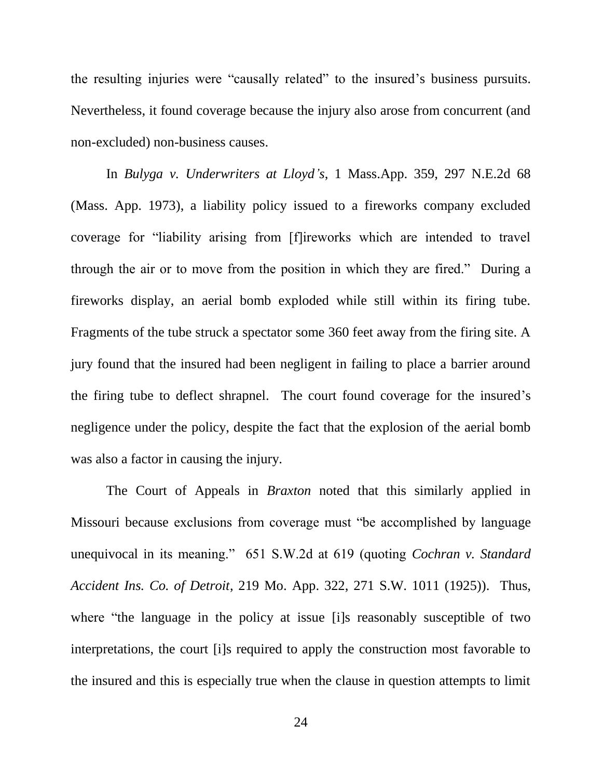the resulting injuries were "causally related" to the insured's business pursuits. Nevertheless, it found coverage because the injury also arose from concurrent (and non-excluded) non-business causes.

In *Bulyga v. Underwriters at Lloyd's*, 1 Mass.App. 359, 297 N.E.2d 68 (Mass. App. 1973), a liability policy issued to a fireworks company excluded coverage for "liability arising from [f]ireworks which are intended to travel through the air or to move from the position in which they are fired." During a fireworks display, an aerial bomb exploded while still within its firing tube. Fragments of the tube struck a spectator some 360 feet away from the firing site. A jury found that the insured had been negligent in failing to place a barrier around the firing tube to deflect shrapnel. The court found coverage for the insured's negligence under the policy, despite the fact that the explosion of the aerial bomb was also a factor in causing the injury.

The Court of Appeals in *Braxton* noted that this similarly applied in Missouri because exclusions from coverage must "be accomplished by language unequivocal in its meaning." 651 S.W.2d at 619 (quoting *Cochran v. Standard Accident Ins. Co. of Detroit*, 219 Mo. App. 322, 271 S.W. 1011 (1925)). Thus, where "the language in the policy at issue [i]s reasonably susceptible of two interpretations, the court [i]s required to apply the construction most favorable to the insured and this is especially true when the clause in question attempts to limit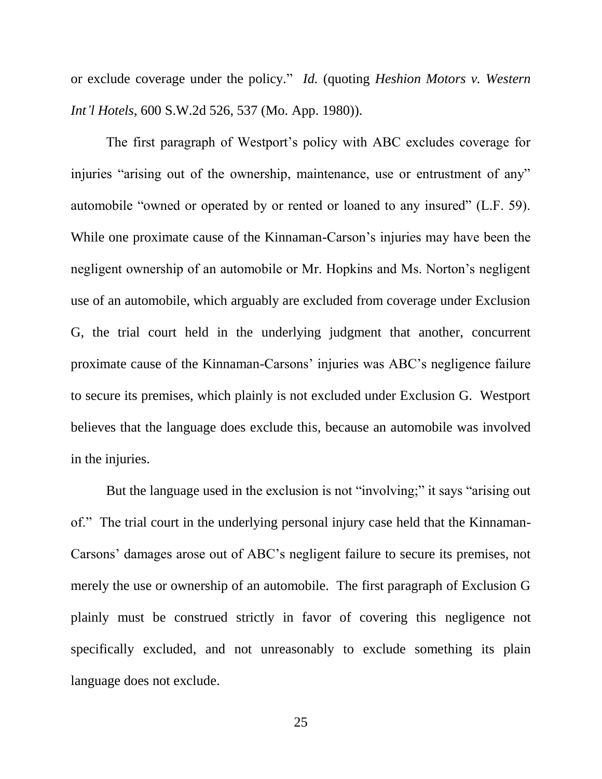or exclude coverage under the policy." *Id.* (quoting *Heshion Motors v. Western Int'l Hotels*, 600 S.W.2d 526, 537 (Mo. App. 1980)).

The first paragraph of Westport's policy with ABC excludes coverage for injuries "arising out of the ownership, maintenance, use or entrustment of any" automobile "owned or operated by or rented or loaned to any insured" (L.F. 59). While one proximate cause of the Kinnaman-Carson's injuries may have been the negligent ownership of an automobile or Mr. Hopkins and Ms. Norton's negligent use of an automobile, which arguably are excluded from coverage under Exclusion G, the trial court held in the underlying judgment that another, concurrent proximate cause of the Kinnaman-Carsons' injuries was ABC's negligence failure to secure its premises, which plainly is not excluded under Exclusion G. Westport believes that the language does exclude this, because an automobile was involved in the injuries.

But the language used in the exclusion is not "involving;" it says "arising out of." The trial court in the underlying personal injury case held that the Kinnaman-Carsons' damages arose out of ABC's negligent failure to secure its premises, not merely the use or ownership of an automobile. The first paragraph of Exclusion G plainly must be construed strictly in favor of covering this negligence not specifically excluded, and not unreasonably to exclude something its plain language does not exclude.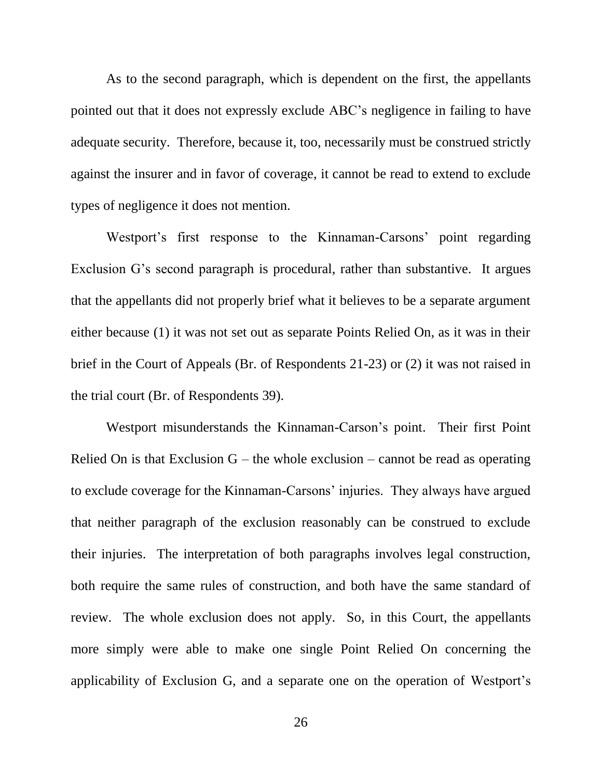As to the second paragraph, which is dependent on the first, the appellants pointed out that it does not expressly exclude ABC's negligence in failing to have adequate security. Therefore, because it, too, necessarily must be construed strictly against the insurer and in favor of coverage, it cannot be read to extend to exclude types of negligence it does not mention.

Westport's first response to the Kinnaman-Carsons' point regarding Exclusion G's second paragraph is procedural, rather than substantive. It argues that the appellants did not properly brief what it believes to be a separate argument either because (1) it was not set out as separate Points Relied On, as it was in their brief in the Court of Appeals (Br. of Respondents 21-23) or (2) it was not raised in the trial court (Br. of Respondents 39).

Westport misunderstands the Kinnaman-Carson's point. Their first Point Relied On is that Exclusion  $G$  – the whole exclusion – cannot be read as operating to exclude coverage for the Kinnaman-Carsons' injuries. They always have argued that neither paragraph of the exclusion reasonably can be construed to exclude their injuries. The interpretation of both paragraphs involves legal construction, both require the same rules of construction, and both have the same standard of review. The whole exclusion does not apply. So, in this Court, the appellants more simply were able to make one single Point Relied On concerning the applicability of Exclusion G, and a separate one on the operation of Westport's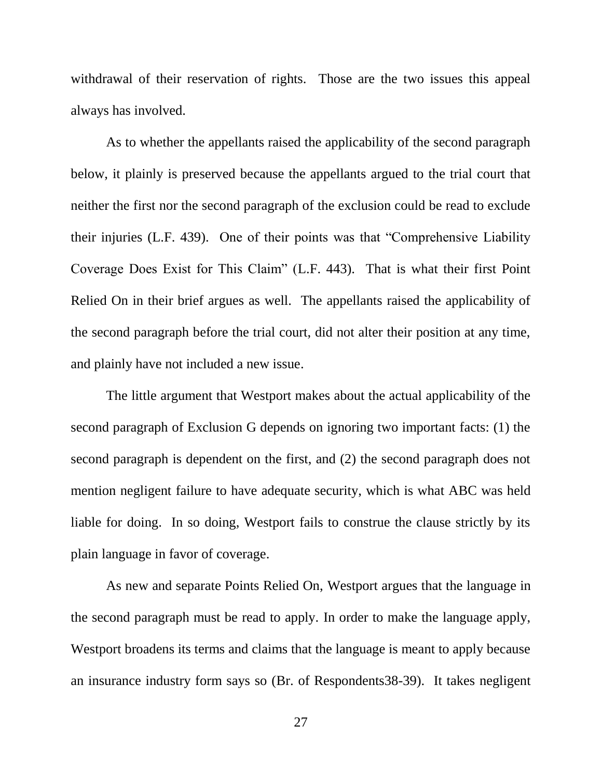withdrawal of their reservation of rights. Those are the two issues this appeal always has involved.

As to whether the appellants raised the applicability of the second paragraph below, it plainly is preserved because the appellants argued to the trial court that neither the first nor the second paragraph of the exclusion could be read to exclude their injuries (L.F. 439). One of their points was that "Comprehensive Liability Coverage Does Exist for This Claim" (L.F. 443). That is what their first Point Relied On in their brief argues as well. The appellants raised the applicability of the second paragraph before the trial court, did not alter their position at any time, and plainly have not included a new issue.

The little argument that Westport makes about the actual applicability of the second paragraph of Exclusion G depends on ignoring two important facts: (1) the second paragraph is dependent on the first, and (2) the second paragraph does not mention negligent failure to have adequate security, which is what ABC was held liable for doing. In so doing, Westport fails to construe the clause strictly by its plain language in favor of coverage.

As new and separate Points Relied On, Westport argues that the language in the second paragraph must be read to apply. In order to make the language apply, Westport broadens its terms and claims that the language is meant to apply because an insurance industry form says so (Br. of Respondents38-39). It takes negligent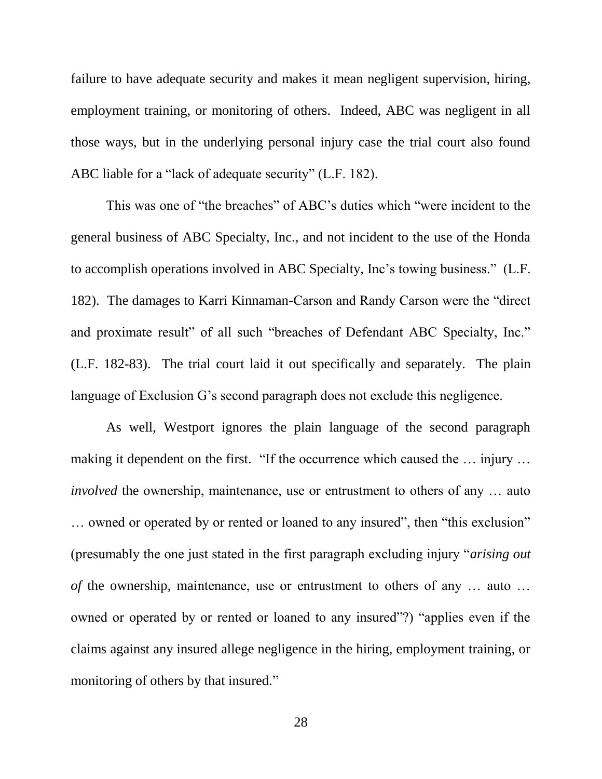failure to have adequate security and makes it mean negligent supervision, hiring, employment training, or monitoring of others. Indeed, ABC was negligent in all those ways, but in the underlying personal injury case the trial court also found ABC liable for a "lack of adequate security" (L.F. 182).

This was one of "the breaches" of ABC's duties which "were incident to the general business of ABC Specialty, Inc., and not incident to the use of the Honda to accomplish operations involved in ABC Specialty, Inc's towing business." (L.F. 182). The damages to Karri Kinnaman-Carson and Randy Carson were the "direct and proximate result" of all such "breaches of Defendant ABC Specialty, Inc." (L.F. 182-83). The trial court laid it out specifically and separately. The plain language of Exclusion G's second paragraph does not exclude this negligence.

As well, Westport ignores the plain language of the second paragraph making it dependent on the first. "If the occurrence which caused the … injury … *involved* the ownership, maintenance, use or entrustment to others of any ... auto … owned or operated by or rented or loaned to any insured", then "this exclusion" (presumably the one just stated in the first paragraph excluding injury "*arising out of* the ownership, maintenance, use or entrustment to others of any … auto … owned or operated by or rented or loaned to any insured"?) "applies even if the claims against any insured allege negligence in the hiring, employment training, or monitoring of others by that insured."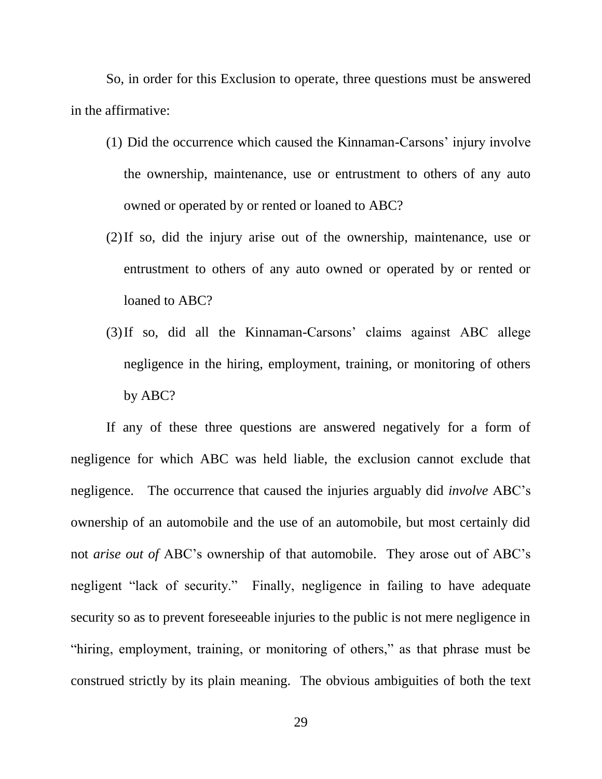So, in order for this Exclusion to operate, three questions must be answered in the affirmative:

- (1) Did the occurrence which caused the Kinnaman-Carsons' injury involve the ownership, maintenance, use or entrustment to others of any auto owned or operated by or rented or loaned to ABC?
- (2)If so, did the injury arise out of the ownership, maintenance, use or entrustment to others of any auto owned or operated by or rented or loaned to ABC?
- (3)If so, did all the Kinnaman-Carsons' claims against ABC allege negligence in the hiring, employment, training, or monitoring of others by ABC?

If any of these three questions are answered negatively for a form of negligence for which ABC was held liable, the exclusion cannot exclude that negligence. The occurrence that caused the injuries arguably did *involve* ABC's ownership of an automobile and the use of an automobile, but most certainly did not *arise out of* ABC's ownership of that automobile. They arose out of ABC's negligent "lack of security." Finally, negligence in failing to have adequate security so as to prevent foreseeable injuries to the public is not mere negligence in "hiring, employment, training, or monitoring of others," as that phrase must be construed strictly by its plain meaning. The obvious ambiguities of both the text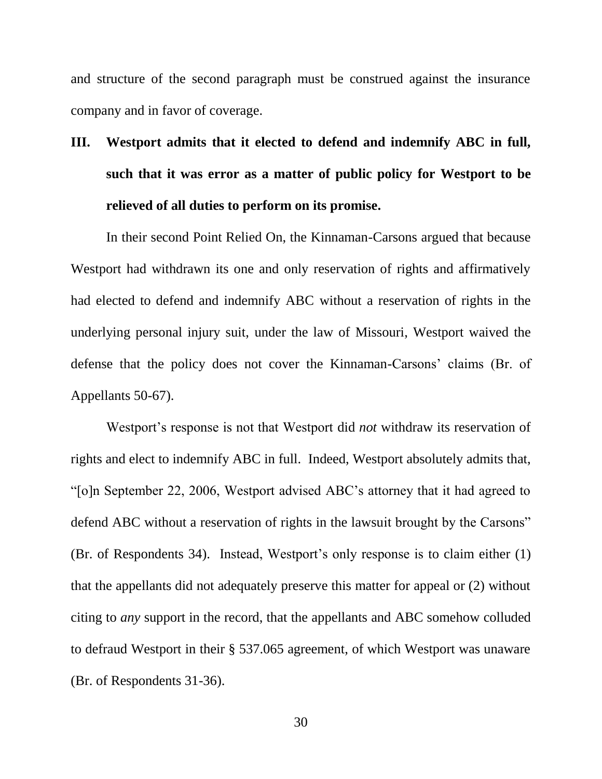and structure of the second paragraph must be construed against the insurance company and in favor of coverage.

# **III. Westport admits that it elected to defend and indemnify ABC in full, such that it was error as a matter of public policy for Westport to be relieved of all duties to perform on its promise.**

In their second Point Relied On, the Kinnaman-Carsons argued that because Westport had withdrawn its one and only reservation of rights and affirmatively had elected to defend and indemnify ABC without a reservation of rights in the underlying personal injury suit, under the law of Missouri, Westport waived the defense that the policy does not cover the Kinnaman-Carsons' claims (Br. of Appellants 50-67).

Westport's response is not that Westport did *not* withdraw its reservation of rights and elect to indemnify ABC in full. Indeed, Westport absolutely admits that, "[o]n September 22, 2006, Westport advised ABC's attorney that it had agreed to defend ABC without a reservation of rights in the lawsuit brought by the Carsons" (Br. of Respondents 34). Instead, Westport's only response is to claim either (1) that the appellants did not adequately preserve this matter for appeal or (2) without citing to *any* support in the record, that the appellants and ABC somehow colluded to defraud Westport in their § 537.065 agreement, of which Westport was unaware (Br. of Respondents 31-36).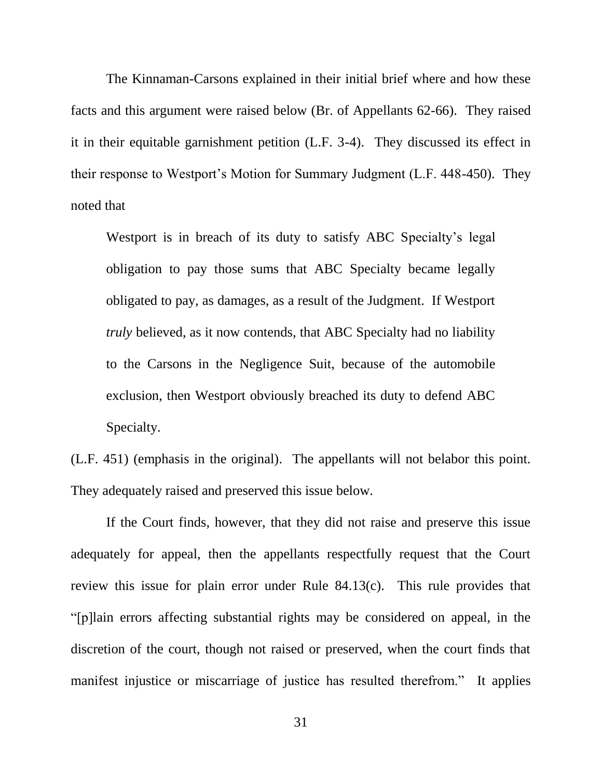The Kinnaman-Carsons explained in their initial brief where and how these facts and this argument were raised below (Br. of Appellants 62-66). They raised it in their equitable garnishment petition (L.F. 3-4). They discussed its effect in their response to Westport's Motion for Summary Judgment (L.F. 448-450). They noted that

Westport is in breach of its duty to satisfy ABC Specialty's legal obligation to pay those sums that ABC Specialty became legally obligated to pay, as damages, as a result of the Judgment. If Westport *truly* believed, as it now contends, that ABC Specialty had no liability to the Carsons in the Negligence Suit, because of the automobile exclusion, then Westport obviously breached its duty to defend ABC Specialty.

(L.F. 451) (emphasis in the original). The appellants will not belabor this point. They adequately raised and preserved this issue below.

If the Court finds, however, that they did not raise and preserve this issue adequately for appeal, then the appellants respectfully request that the Court review this issue for plain error under Rule 84.13(c). This rule provides that "[p]lain errors affecting substantial rights may be considered on appeal, in the discretion of the court, though not raised or preserved, when the court finds that manifest injustice or miscarriage of justice has resulted therefrom." It applies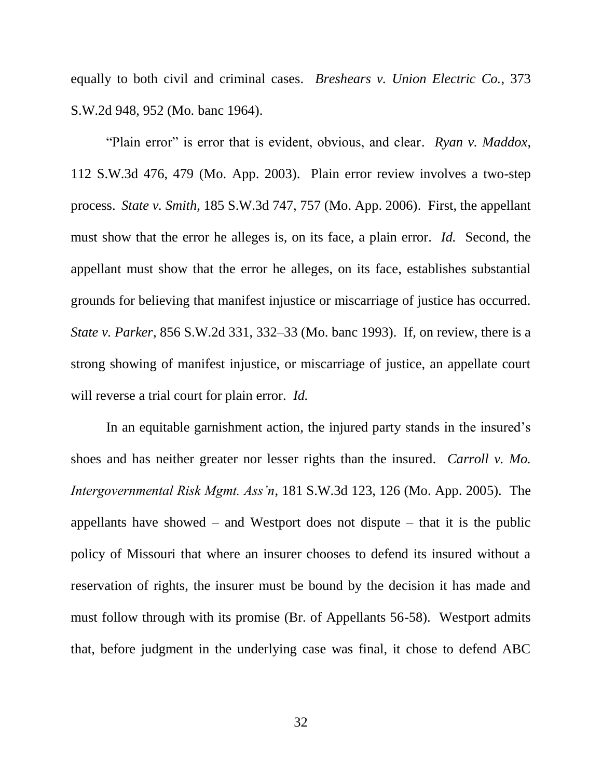equally to both civil and criminal cases. *Breshears v. Union Electric Co.*, 373 S.W.2d 948, 952 (Mo. banc 1964).

"Plain error" is error that is evident, obvious, and clear. *Ryan v. Maddox*, 112 S.W.3d 476, 479 (Mo. App. 2003). Plain error review involves a two-step process. *State v. Smith*, 185 S.W.3d 747, 757 (Mo. App. 2006). First, the appellant must show that the error he alleges is, on its face, a plain error. *Id.* Second, the appellant must show that the error he alleges, on its face, establishes substantial grounds for believing that manifest injustice or miscarriage of justice has occurred. *State v. Parker*, 856 S.W.2d 331, 332–33 (Mo. banc 1993). If, on review, there is a strong showing of manifest injustice, or miscarriage of justice, an appellate court will reverse a trial court for plain error. *Id.*

In an equitable garnishment action, the injured party stands in the insured's shoes and has neither greater nor lesser rights than the insured. *Carroll v. Mo. Intergovernmental Risk Mgmt. Ass'n*, 181 S.W.3d 123, 126 (Mo. App. 2005). The appellants have showed – and Westport does not dispute – that it is the public policy of Missouri that where an insurer chooses to defend its insured without a reservation of rights, the insurer must be bound by the decision it has made and must follow through with its promise (Br. of Appellants 56-58). Westport admits that, before judgment in the underlying case was final, it chose to defend ABC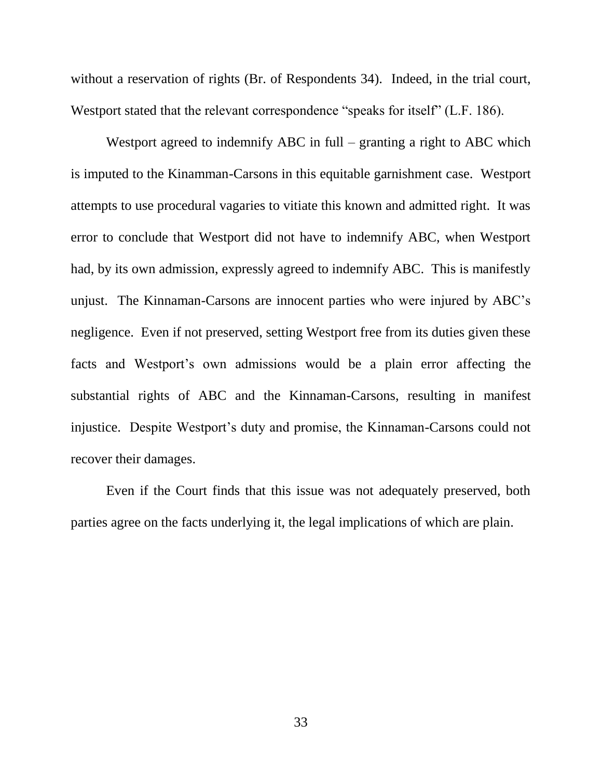without a reservation of rights (Br. of Respondents 34). Indeed, in the trial court, Westport stated that the relevant correspondence "speaks for itself" (L.F. 186).

Westport agreed to indemnify ABC in full – granting a right to ABC which is imputed to the Kinamman-Carsons in this equitable garnishment case. Westport attempts to use procedural vagaries to vitiate this known and admitted right. It was error to conclude that Westport did not have to indemnify ABC, when Westport had, by its own admission, expressly agreed to indemnify ABC. This is manifestly unjust. The Kinnaman-Carsons are innocent parties who were injured by ABC's negligence. Even if not preserved, setting Westport free from its duties given these facts and Westport's own admissions would be a plain error affecting the substantial rights of ABC and the Kinnaman-Carsons, resulting in manifest injustice. Despite Westport's duty and promise, the Kinnaman-Carsons could not recover their damages.

Even if the Court finds that this issue was not adequately preserved, both parties agree on the facts underlying it, the legal implications of which are plain.